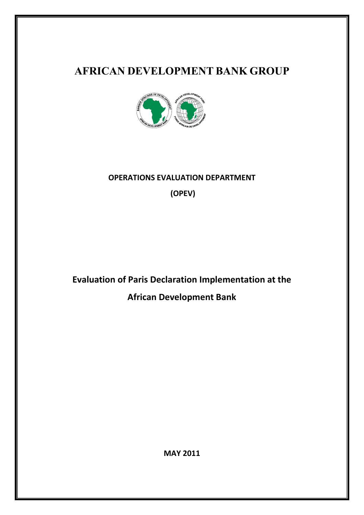# **AFRICAN DEVELOPMENT BANK GROUP**



# **OPERATIONS EVALUATION DEPARTMENT (OPEV)**

**Evaluation of Paris Declaration Implementation at the African Development Bank**

**MAY 2011**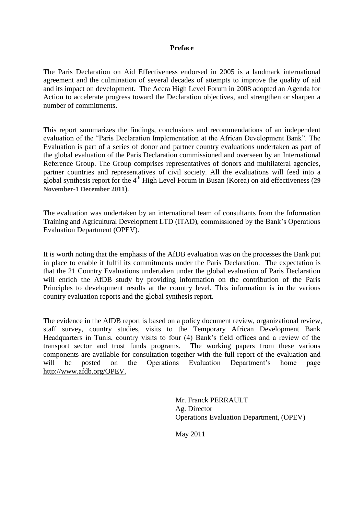#### **Preface**

The Paris Declaration on Aid Effectiveness endorsed in 2005 is a landmark international agreement and the culmination of several decades of attempts to improve the quality of aid and its impact on development. The Accra High Level Forum in 2008 adopted an Agenda for Action to accelerate progress toward the Declaration objectives, and strengthen or sharpen a number of commitments.

This report summarizes the findings, conclusions and recommendations of an independent evaluation of the "Paris Declaration Implementation at the African Development Bank". The Evaluation is part of a series of donor and partner country evaluations undertaken as part of the global evaluation of the Paris Declaration commissioned and overseen by an International Reference Group. The Group comprises representatives of donors and multilateral agencies, partner countries and representatives of civil society. All the evaluations will feed into a global synthesis report for the 4th High Level Forum in Busan (Korea) on aid effectiveness (**29 November-1 December 2011**).

The evaluation was undertaken by an international team of consultants from the Information Training and Agricultural Development LTD (ITAD), commissioned by the Bank"s Operations Evaluation Department (OPEV).

It is worth noting that the emphasis of the AfDB evaluation was on the processes the Bank put in place to enable it fulfil its commitments under the Paris Declaration. The expectation is that the 21 Country Evaluations undertaken under the global evaluation of Paris Declaration will enrich the AfDB study by providing information on the contribution of the Paris Principles to development results at the country level. This information is in the various country evaluation reports and the global synthesis report.

The evidence in the AfDB report is based on a policy document review, organizational review, staff survey, country studies, visits to the Temporary African Development Bank Headquarters in Tunis, country visits to four (4) Bank"s field offices and a review of the transport sector and trust funds programs. The working papers from these various components are available for consultation together with the full report of the evaluation and will be posted on the Operations Evaluation Department's home page http://www.afdb.org/OPEV.

> Mr. Franck PERRAULT Ag. Director Operations Evaluation Department, (OPEV)

May 2011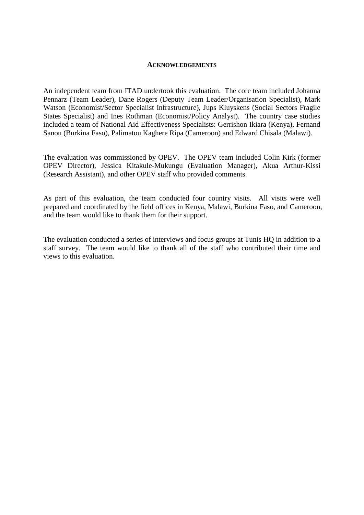#### **ACKNOWLEDGEMENTS**

An independent team from ITAD undertook this evaluation. The core team included Johanna Pennarz (Team Leader), Dane Rogers (Deputy Team Leader/Organisation Specialist), Mark Watson (Economist/Sector Specialist Infrastructure), Jups Kluyskens (Social Sectors Fragile States Specialist) and Ines Rothman (Economist/Policy Analyst). The country case studies included a team of National Aid Effectiveness Specialists: Gerrishon Ikiara (Kenya), Fernand Sanou (Burkina Faso), Palimatou Kaghere Ripa (Cameroon) and Edward Chisala (Malawi).

The evaluation was commissioned by OPEV. The OPEV team included Colin Kirk (former OPEV Director), Jessica Kitakule-Mukungu (Evaluation Manager), Akua Arthur-Kissi (Research Assistant), and other OPEV staff who provided comments.

As part of this evaluation, the team conducted four country visits. All visits were well prepared and coordinated by the field offices in Kenya, Malawi, Burkina Faso, and Cameroon, and the team would like to thank them for their support.

The evaluation conducted a series of interviews and focus groups at Tunis HQ in addition to a staff survey. The team would like to thank all of the staff who contributed their time and views to this evaluation.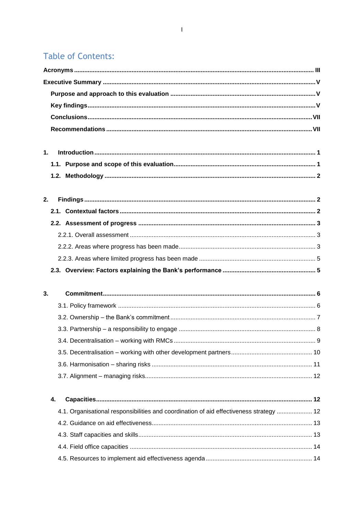# **Table of Contents:**

| 1. |                                                                                         |  |  |  |  |  |
|----|-----------------------------------------------------------------------------------------|--|--|--|--|--|
|    |                                                                                         |  |  |  |  |  |
|    |                                                                                         |  |  |  |  |  |
| 2. |                                                                                         |  |  |  |  |  |
|    |                                                                                         |  |  |  |  |  |
|    |                                                                                         |  |  |  |  |  |
|    |                                                                                         |  |  |  |  |  |
|    |                                                                                         |  |  |  |  |  |
|    |                                                                                         |  |  |  |  |  |
|    |                                                                                         |  |  |  |  |  |
|    |                                                                                         |  |  |  |  |  |
|    |                                                                                         |  |  |  |  |  |
| 3. |                                                                                         |  |  |  |  |  |
|    |                                                                                         |  |  |  |  |  |
|    |                                                                                         |  |  |  |  |  |
|    |                                                                                         |  |  |  |  |  |
|    |                                                                                         |  |  |  |  |  |
|    |                                                                                         |  |  |  |  |  |
|    |                                                                                         |  |  |  |  |  |
|    |                                                                                         |  |  |  |  |  |
|    | 4.                                                                                      |  |  |  |  |  |
|    | 4.1. Organisational responsibilities and coordination of aid effectiveness strategy  12 |  |  |  |  |  |
|    |                                                                                         |  |  |  |  |  |
|    |                                                                                         |  |  |  |  |  |
|    |                                                                                         |  |  |  |  |  |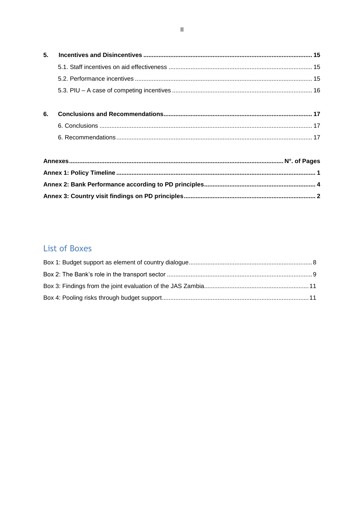| 5. |  |
|----|--|
|    |  |
|    |  |
|    |  |
|    |  |
| 6. |  |
|    |  |
|    |  |
|    |  |

# **List of Boxes**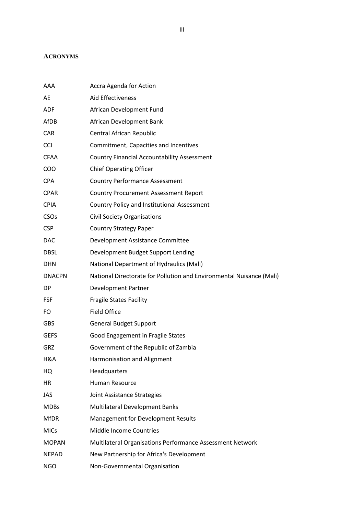# <span id="page-5-0"></span>**ACRONYMS**

| AAA              | Accra Agenda for Action                                              |
|------------------|----------------------------------------------------------------------|
| AE               | Aid Effectiveness                                                    |
| ADF              | African Development Fund                                             |
| AfDB             | African Development Bank                                             |
| CAR              | Central African Republic                                             |
| <b>CCI</b>       | Commitment, Capacities and Incentives                                |
| <b>CFAA</b>      | <b>Country Financial Accountability Assessment</b>                   |
| COO              | <b>Chief Operating Officer</b>                                       |
| <b>CPA</b>       | <b>Country Performance Assessment</b>                                |
| <b>CPAR</b>      | <b>Country Procurement Assessment Report</b>                         |
| <b>CPIA</b>      | Country Policy and Institutional Assessment                          |
| CSO <sub>s</sub> | <b>Civil Society Organisations</b>                                   |
| <b>CSP</b>       | <b>Country Strategy Paper</b>                                        |
| <b>DAC</b>       | Development Assistance Committee                                     |
| <b>DBSL</b>      | Development Budget Support Lending                                   |
| <b>DHN</b>       | National Department of Hydraulics (Mali)                             |
| <b>DNACPN</b>    | National Directorate for Pollution and Environmental Nuisance (Mali) |
| DP               | <b>Development Partner</b>                                           |
| <b>FSF</b>       | <b>Fragile States Facility</b>                                       |
| FO               | <b>Field Office</b>                                                  |
| <b>GBS</b>       | <b>General Budget Support</b>                                        |
| <b>GEFS</b>      | Good Engagement in Fragile States                                    |
| GRZ              | Government of the Republic of Zambia                                 |
| H&A              | Harmonisation and Alignment                                          |
| HQ               | Headquarters                                                         |
| ΗR               | Human Resource                                                       |
| JAS              | Joint Assistance Strategies                                          |
| <b>MDBs</b>      | Multilateral Development Banks                                       |
| <b>MfDR</b>      | Management for Development Results                                   |
| <b>MICs</b>      | Middle Income Countries                                              |
| <b>MOPAN</b>     | Multilateral Organisations Performance Assessment Network            |
| <b>NEPAD</b>     | New Partnership for Africa's Development                             |
| <b>NGO</b>       | Non-Governmental Organisation                                        |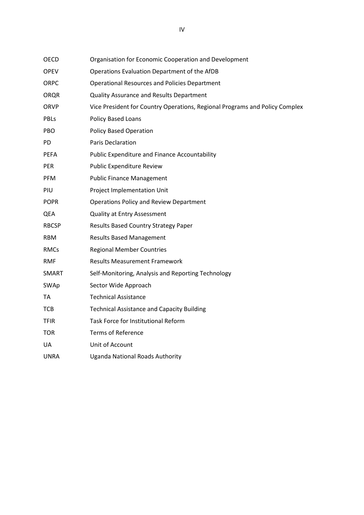<span id="page-6-0"></span>

| OECD         | Organisation for Economic Cooperation and Development                       |
|--------------|-----------------------------------------------------------------------------|
| <b>OPEV</b>  | Operations Evaluation Department of the AfDB                                |
| <b>ORPC</b>  | <b>Operational Resources and Policies Department</b>                        |
| <b>ORQR</b>  | Quality Assurance and Results Department                                    |
| ORVP         | Vice President for Country Operations, Regional Programs and Policy Complex |
| PBLs         | Policy Based Loans                                                          |
| PBO.         | <b>Policy Based Operation</b>                                               |
| <b>PD</b>    | <b>Paris Declaration</b>                                                    |
| <b>PEFA</b>  | Public Expenditure and Finance Accountability                               |
| PER          | Public Expenditure Review                                                   |
| PFM          | <b>Public Finance Management</b>                                            |
| PIU          | Project Implementation Unit                                                 |
| <b>POPR</b>  | <b>Operations Policy and Review Department</b>                              |
| QEA          | <b>Quality at Entry Assessment</b>                                          |
| <b>RBCSP</b> | Results Based Country Strategy Paper                                        |
| <b>RBM</b>   | <b>Results Based Management</b>                                             |
| <b>RMCs</b>  | <b>Regional Member Countries</b>                                            |
| <b>RMF</b>   | <b>Results Measurement Framework</b>                                        |
| <b>SMART</b> | Self-Monitoring, Analysis and Reporting Technology                          |
| SWAp         | Sector Wide Approach                                                        |
| TA           | <b>Technical Assistance</b>                                                 |
| <b>TCB</b>   | <b>Technical Assistance and Capacity Building</b>                           |
| <b>TFIR</b>  | Task Force for Institutional Reform                                         |
| <b>TOR</b>   | <b>Terms of Reference</b>                                                   |
| UA           | Unit of Account                                                             |
| <b>UNRA</b>  | <b>Uganda National Roads Authority</b>                                      |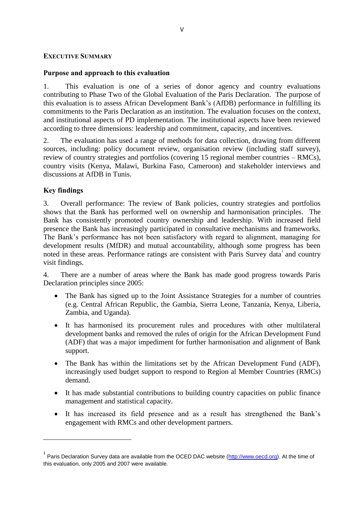#### **EXECUTIVE SUMMARY**

#### **Purpose and approach to this evaluation**

1. This evaluation is one of a series of donor agency and country evaluations contributing to Phase Two of the Global Evaluation of the Paris Declaration. The purpose of this evaluation is to assess African Development Bank"s (AfDB) performance in fulfilling its commitments to the Paris Declaration as an institution. The evaluation focuses on the context, and institutional aspects of PD implementation. The institutional aspects have been reviewed according to three dimensions: leadership and commitment, capacity, and incentives.

2. The evaluation has used a range of methods for data collection, drawing from different sources, including: policy document review, organisation review (including staff survey), review of country strategies and portfolios (covering 15 regional member countries – RMCs), country visits (Kenya, Malawi, Burkina Faso, Cameroon) and stakeholder interviews and discussions at AfDB in Tunis.

#### **Key findings**

 $\overline{\phantom{a}}$ 

3. Overall performance: The review of Bank policies, country strategies and portfolios shows that the Bank has performed well on ownership and harmonisation principles. The Bank has consistently promoted country ownership and leadership. With increased field presence the Bank has increasingly participated in consultative mechanisms and frameworks. The Bank"s performance has not been satisfactory with regard to alignment, managing for development results (MfDR) and mutual accountability, although some progress has been noted in these areas. Performance ratings are consistent with Paris Survey data<sup>1</sup> and country visit findings.

4. There are a number of areas where the Bank has made good progress towards Paris Declaration principles since 2005:

- The Bank has signed up to the Joint Assistance Strategies for a number of countries (e.g. Central African Republic, the Gambia, Sierra Leone, Tanzania, Kenya, Liberia, Zambia, and Uganda).
- It has harmonised its procurement rules and procedures with other multilateral development banks and removed the rules of origin for the African Development Fund (ADF) that was a major impediment for further harmonisation and alignment of Bank support.
- The Bank has within the limitations set by the African Development Fund (ADF), increasingly used budget support to respond to Region al Member Countries (RMCs) demand.
- It has made substantial contributions to building country capacities on public finance management and statistical capacity.
- It has increased its field presence and as a result has strengthened the Bank"s engagement with RMCs and other development partners.

<sup>&</sup>lt;sup>1</sup> Paris Declaration Survey data are available from the OCED DAC website [\(http://www.oecd.org\)](http://www.oecd.org/). At the time of this evaluation, only 2005 and 2007 were available.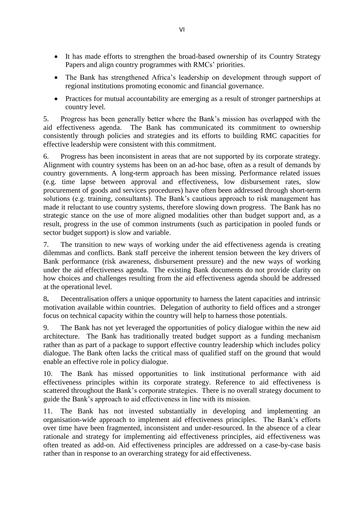- It has made efforts to strengthen the broad-based ownership of its Country Strategy Papers and align country programmes with RMCs' priorities.
- The Bank has strengthened Africa's leadership on development through support of regional institutions promoting economic and financial governance.
- Practices for mutual accountability are emerging as a result of stronger partnerships at country level.

5. Progress has been generally better where the Bank"s mission has overlapped with the aid effectiveness agenda. The Bank has communicated its commitment to ownership consistently through policies and strategies and its efforts to building RMC capacities for effective leadership were consistent with this commitment.

6. Progress has been inconsistent in areas that are not supported by its corporate strategy. Alignment with country systems has been on an ad-hoc base, often as a result of demands by country governments. A long-term approach has been missing. Performance related issues (e.g. time lapse between approval and effectiveness, low disbursement rates, slow procurement of goods and services procedures) have often been addressed through short-term solutions (e.g. training, consultants). The Bank's cautious approach to risk management has made it reluctant to use country systems, therefore slowing down progress. The Bank has no strategic stance on the use of more aligned modalities other than budget support and, as a result, progress in the use of common instruments (such as participation in pooled funds or sector budget support) is slow and variable.

7. The transition to new ways of working under the aid effectiveness agenda is creating dilemmas and conflicts. Bank staff perceive the inherent tension between the key drivers of Bank performance (risk awareness, disbursement pressure) and the new ways of working under the aid effectiveness agenda. The existing Bank documents do not provide clarity on how choices and challenges resulting from the aid effectiveness agenda should be addressed at the operational level.

8**.** Decentralisation offers a unique opportunity to harness the latent capacities and intrinsic motivation available within countries. Delegation of authority to field offices and a stronger focus on technical capacity within the country will help to harness those potentials.

9. The Bank has not yet leveraged the opportunities of policy dialogue within the new aid architecture. The Bank has traditionally treated budget support as a funding mechanism rather than as part of a package to support effective country leadership which includes policy dialogue. The Bank often lacks the critical mass of qualified staff on the ground that would enable an effective role in policy dialogue.

10. The Bank has missed opportunities to link institutional performance with aid effectiveness principles within its corporate strategy. Reference to aid effectiveness is scattered throughout the Bank"s corporate strategies. There is no overall strategy document to guide the Bank"s approach to aid effectiveness in line with its mission.

11. The Bank has not invested substantially in developing and implementing an organisation-wide approach to implement aid effectiveness principles. The Bank"s efforts over time have been fragmented, inconsistent and under-resourced. In the absence of a clear rationale and strategy for implementing aid effectiveness principles, aid effectiveness was often treated as add-on. Aid effectiveness principles are addressed on a case-by-case basis rather than in response to an overarching strategy for aid effectiveness.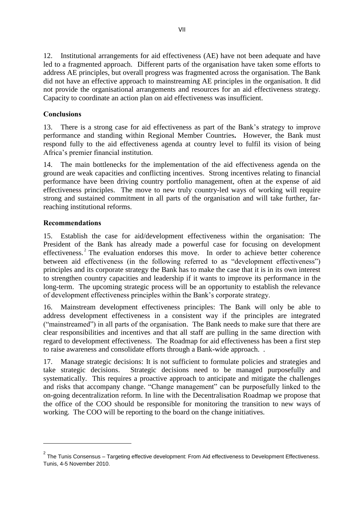12. Institutional arrangements for aid effectiveness (AE) have not been adequate and have led to a fragmented approach.Different parts of the organisation have taken some efforts to address AE principles, but overall progress was fragmented across the organisation. The Bank did not have an effective approach to mainstreaming AE principles in the organisation. It did not provide the organisational arrangements and resources for an aid effectiveness strategy. Capacity to coordinate an action plan on aid effectiveness was insufficient.

# **Conclusions**

13. There is a strong case for aid effectiveness as part of the Bank"s strategy to improve performance and standing within Regional Member Countries**.** However, the Bank must respond fully to the aid effectiveness agenda at country level to fulfil its vision of being Africa"s premier financial institution.

14. The main bottlenecks for the implementation of the aid effectiveness agenda on the ground are weak capacities and conflicting incentives. Strong incentives relating to financial performance have been driving country portfolio management, often at the expense of aid effectiveness principles. The move to new truly country-led ways of working will require strong and sustained commitment in all parts of the organisation and will take further, farreaching institutional reforms.

## **Recommendations**

 $\overline{\phantom{a}}$ 

15. Establish the case for aid/development effectiveness within the organisation: The President of the Bank has already made a powerful case for focusing on development effectiveness.<sup>2</sup> The evaluation endorses this move. In order to achieve better coherence between aid effectiveness (in the following referred to as "development effectiveness") principles and its corporate strategy the Bank has to make the case that it is in its own interest to strengthen country capacities and leadership if it wants to improve its performance in the long-term. The upcoming strategic process will be an opportunity to establish the relevance of development effectiveness principles within the Bank"s corporate strategy.

16. Mainstream development effectiveness principles: The Bank will only be able to address development effectiveness in a consistent way if the principles are integrated ("mainstreamed") in all parts of the organisation. The Bank needs to make sure that there are clear responsibilities and incentives and that all staff are pulling in the same direction with regard to development effectiveness. The Roadmap for aid effectiveness has been a first step to raise awareness and consolidate efforts through a Bank-wide approach. .

17. Manage strategic decisions: It is not sufficient to formulate policies and strategies and take strategic decisions. Strategic decisions need to be managed purposefully and systematically. This requires a proactive approach to anticipate and mitigate the challenges and risks that accompany change. "Change management" can be purposefully linked to the on-going decentralization reform. In line with the Decentralisation Roadmap we propose that the office of the COO should be responsible for monitoring the transition to new ways of working. The COO will be reporting to the board on the change initiatives.

 $^{\text{2}}$  The Tunis Consensus – Targeting effective development: From Aid effectiveness to Development Effectiveness. Tunis, 4-5 November 2010.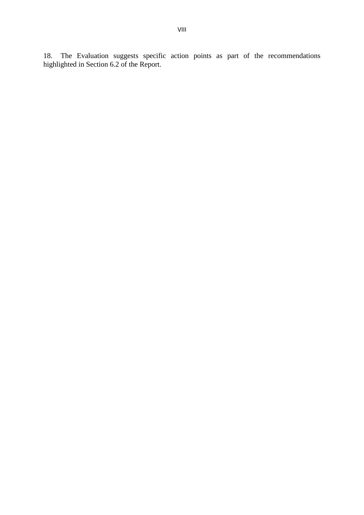18. The Evaluation suggests specific action points as part of the recommendations highlighted in Section 6.2 of the Report.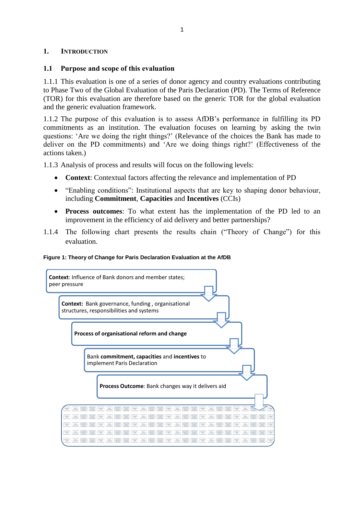#### <span id="page-11-0"></span>**1. INTRODUCTION**

#### <span id="page-11-1"></span>**1.1 Purpose and scope of this evaluation**

1.1.1 This evaluation is one of a series of donor agency and country evaluations contributing to Phase Two of the Global Evaluation of the Paris Declaration (PD). The Terms of Reference (TOR) for this evaluation are therefore based on the generic TOR for the global evaluation and the generic evaluation framework.

1.1.2 The purpose of this evaluation is to assess AfDB"s performance in fulfilling its PD commitments as an institution. The evaluation focuses on learning by asking the twin questions: "Are we doing the right things?" (Relevance of the choices the Bank has made to deliver on the PD commitments) and "Are we doing things right?" (Effectiveness of the actions taken.)

1.1.3 Analysis of process and results will focus on the following levels:

- **Context**: Contextual factors affecting the relevance and implementation of PD
- "Enabling conditions": Institutional aspects that are key to shaping donor behaviour, including **Commitment**, **Capacities** and **Incentives** (CCIs)
- **Process outcomes**: To what extent has the implementation of the PD led to an improvement in the efficiency of aid delivery and better partnerships?
- 1.1.4 The following chart presents the results chain ("Theory of Change") for this evaluation.

#### **Figure 1: Theory of Change for Paris Declaration Evaluation at the AfDB**

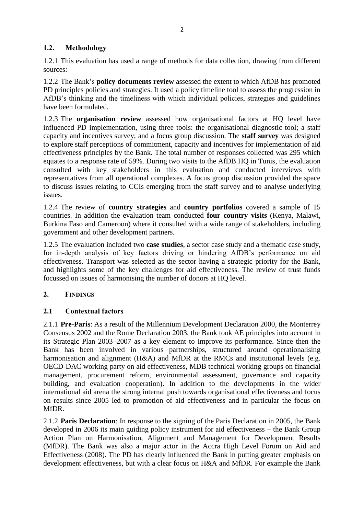# <span id="page-12-0"></span>**1.2. Methodology**

1.2.1 This evaluation has used a range of methods for data collection, drawing from different sources:

1.2.2 The Bank"s **policy documents review** assessed the extent to which AfDB has promoted PD principles policies and strategies. It used a policy timeline tool to assess the progression in AfDB"s thinking and the timeliness with which individual policies, strategies and guidelines have been formulated.

1.2.3 The **organisation review** assessed how organisational factors at HQ level have influenced PD implementation, using three tools: the organisational diagnostic tool; a staff capacity and incentives survey; and a focus group discussion. The **staff survey** was designed to explore staff perceptions of commitment, capacity and incentives for implementation of aid effectiveness principles by the Bank. The total number of responses collected was 295 which equates to a response rate of 59%. During two visits to the AfDB HQ in Tunis, the evaluation consulted with key stakeholders in this evaluation and conducted interviews with representatives from all operational complexes. A focus group discussion provided the space to discuss issues relating to CCIs emerging from the staff survey and to analyse underlying issues.

1.2.4 The review of **country strategies** and **country portfolios** covered a sample of 15 countries. In addition the evaluation team conducted **four country visits** (Kenya, Malawi, Burkina Faso and Cameroon) where it consulted with a wide range of stakeholders, including government and other development partners.

1.2.5 The evaluation included two **case studies**, a sector case study and a thematic case study, for in-depth analysis of key factors driving or hindering AfDB"s performance on aid effectiveness. Transport was selected as the sector having a strategic priority for the Bank, and highlights some of the key challenges for aid effectiveness. The review of trust funds focussed on issues of harmonising the number of donors at HQ level.

# <span id="page-12-1"></span>**2. FINDINGS**

# <span id="page-12-2"></span>**2.1 Contextual factors**

2.1.1 **Pre-Paris**: As a result of the Millennium Development Declaration 2000, the Monterrey Consensus 2002 and the Rome Declaration 2003, the Bank took AE principles into account in its Strategic Plan 2003–2007 as a key element to improve its performance. Since then the Bank has been involved in various partnerships, structured around operationalising harmonisation and alignment (H&A) and MfDR at the RMCs and institutional levels (e.g. OECD-DAC working party on aid effectiveness, MDB technical working groups on financial management, procurement reform, environmental assessment, governance and capacity building, and evaluation cooperation). In addition to the developments in the wider international aid arena the strong internal push towards organisational effectiveness and focus on results since 2005 led to promotion of aid effectiveness and in particular the focus on MfDR.

2.1.2 **Paris Declaration**: In response to the signing of the Paris Declaration in 2005, the Bank developed in 2006 its main guiding policy instrument for aid effectiveness – the Bank Group Action Plan on Harmonisation, Alignment and Management for Development Results (MfDR). The Bank was also a major actor in the Accra High Level Forum on Aid and Effectiveness (2008). The PD has clearly influenced the Bank in putting greater emphasis on development effectiveness, but with a clear focus on H&A and MfDR. For example the Bank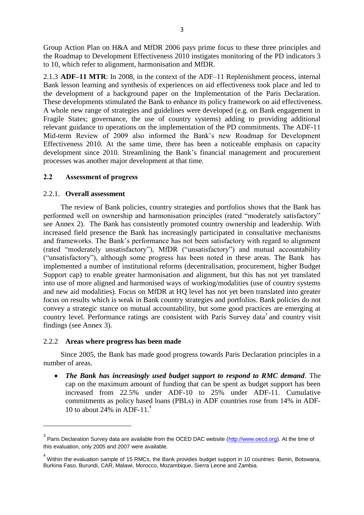Group Action Plan on H&A and MfDR 2006 pays prime focus to these three principles and the Roadmap to Development Effectiveness 2010 instigates monitoring of the PD indicators 3 to 10, which refer to alignment, harmonisation and MfDR.

2.1.3 **ADF–11 MTR**: In 2008, in the context of the ADF–11 Replenishment process, internal Bank lesson learning and synthesis of experiences on aid effectiveness took place and led to the development of a background paper on the Implementation of the Paris Declaration. These developments stimulated the Bank to enhance its policy framework on aid effectiveness. A whole new range of strategies and guidelines were developed (e.g. on Bank engagement in Fragile States; governance, the use of country systems) adding to providing additional relevant guidance to operations on the implementation of the PD commitments. The ADF-11 Mid-term Review of 2009 also informed the Bank"s new Roadmap for Development Effectiveness 2010. At the same time, there has been a noticeable emphasis on capacity development since 2010. Streamlining the Bank"s financial management and procurement processes was another major development at that time.

## <span id="page-13-0"></span>**2.2 Assessment of progress**

#### <span id="page-13-1"></span>2.2.1. **Overall assessment**

The review of Bank policies, country strategies and portfolios shows that the Bank has performed well on ownership and harmonisation principles (rated "moderately satisfactory" see Annex 2). The Bank has consistently promoted country ownership and leadership. With increased field presence the Bank has increasingly participated in consultative mechanisms and frameworks. The Bank"s performance has not been satisfactory with regard to alignment (rated "moderately unsatisfactory"), MfDR ("unsatisfactory") and mutual accountability ("unsatisfactory"), although some progress has been noted in these areas. The Bank has implemented a number of institutional reforms (decentralisation, procurement, higher Budget Support cap) to enable greater harmonisation and alignment, but this has not yet translated into use of more aligned and harmonised ways of working/modalities (use of country systems and new aid modalities). Focus on MfDR at HQ level has not yet been translated into greater focus on results which is weak in Bank country strategies and portfolios. Bank policies do not convey a strategic stance on mutual accountability, but some good practices are emerging at country level. Performance ratings are consistent with Paris Survey data<sup>3</sup> and country visit findings (see Annex 3).

#### <span id="page-13-2"></span>2.2.2 **Areas where progress has been made**

l

Since 2005, the Bank has made good progress towards Paris Declaration principles in a number of areas.

 *The Bank has increasingly used budget support to respond to RMC demand*. The cap on the maximum amount of funding that can be spent as budget support has been increased from 22.5% under ADF-10 to 25% under ADF-11. Cumulative commitments as policy based loans (PBLs) in ADF countries rose from 14% in ADF-10 to about 24% in ADF-11.<sup>4</sup>

<sup>&</sup>lt;sup>3</sup> Paris Declaration Survey data are available from the OCED DAC website (<u>http://www.oecd.org</u>). At the time of this evaluation, only 2005 and 2007 were available.

 $^4$  Within the evaluation sample of 15 RMCs, the Bank provides budget support in 10 countries: Benin, Botswana, Burkina Faso, Burundi, CAR, Malawi, Morocco, Mozambique, Sierra Leone and Zambia.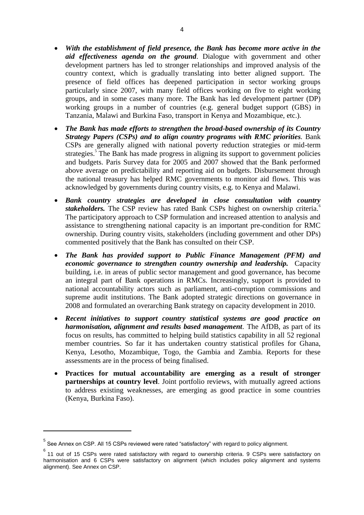- *With the establishment of field presence, the Bank has become more active in the aid effectiveness agenda on the ground*. Dialogue with government and other development partners has led to stronger relationships and improved analysis of the country context, which is gradually translating into better aligned support. The presence of field offices has deepened participation in sector working groups particularly since 2007, with many field offices working on five to eight working groups, and in some cases many more. The Bank has led development partner (DP) working groups in a number of countries (e.g. general budget support (GBS) in Tanzania, Malawi and Burkina Faso, transport in Kenya and Mozambique, etc.).
- *The Bank has made efforts to strengthen the broad-based ownership of its Country Strategy Papers (CSPs) and to align country programs with RMC priorities.* Bank CSPs are generally aligned with national poverty reduction strategies or mid-term strategies.<sup>5</sup> The Bank has made progress in aligning its support to government policies and budgets. Paris Survey data for 2005 and 2007 showed that the Bank performed above average on predictability and reporting aid on budgets. Disbursement through the national treasury has helped RMC governments to monitor aid flows. This was acknowledged by governments during country visits, e.g. to Kenya and Malawi.
- *Bank country strategies are developed in close consultation with country stakeholders*. The CSP review has rated Bank CSPs highest on ownership criteria.<sup>6</sup> The participatory approach to CSP formulation and increased attention to analysis and assistance to strengthening national capacity is an important pre-condition for RMC ownership. During country visits, stakeholders (including government and other DPs) commented positively that the Bank has consulted on their CSP.
- *The Bank has provided support to Public Finance Management (PFM) and economic governance to strengthen country ownership and leadership.* Capacity building, i.e. in areas of public sector management and good governance, has become an integral part of Bank operations in RMCs. Increasingly, support is provided to national accountability actors such as parliament, anti-corruption commissions and supreme audit institutions. The Bank adopted strategic directions on governance in 2008 and formulated an overarching Bank strategy on capacity development in 2010.
- *Recent initiatives to support country statistical systems are good practice on harmonisation, alignment and results based management*. The AfDB, as part of its focus on results, has committed to helping build statistics capability in all 52 regional member countries. So far it has undertaken country statistical profiles for Ghana, Kenya, Lesotho, Mozambique, Togo, the Gambia and Zambia. Reports for these assessments are in the process of being finalised.
- **Practices for mutual accountability are emerging as a result of stronger partnerships at country level**. Joint portfolio reviews, with mutually agreed actions to address existing weaknesses, are emerging as good practice in some countries (Kenya, Burkina Faso).

 $\overline{\phantom{a}}$ 

 $^5$  See Annex on CSP. All 15 CSPs reviewed were rated "satisfactory" with regard to policy alignment.

<sup>6</sup> 11 out of 15 CSPs were rated satisfactory with regard to ownership criteria. 9 CSPs were satisfactory on harmonisation and 6 CSPs were satisfactory on alignment (which includes policy alignment and systems alignment). See Annex on CSP.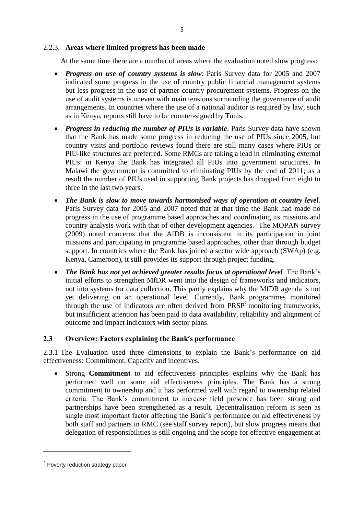#### <span id="page-15-0"></span>2.2.3. **Areas where limited progress has been made**

At the same time there are a number of areas where the evaluation noted slow progress:

- *Progress on use of country systems is slow*: Paris Survey data for 2005 and 2007 indicated some progress in the use of country public financial management systems but less progress in the use of partner country procurement systems. Progress on the use of audit systems is uneven with main tensions surrounding the governance of audit arrangements. In countries where the use of a national auditor is required by law, such as in Kenya, reports still have to be counter-signed by Tunis.
- *Progress in reducing the number of PIUs is variable*. Paris Survey data have shown that the Bank has made some progress in reducing the use of PIUs since 2005, but country visits and portfolio reviews found there are still many cases where PIUs or PIU-like structures are preferred. Some RMCs are taking a lead in eliminating external PIUs: in Kenya the Bank has integrated all PIUs into government structures. In Malawi the government is committed to eliminating PIUs by the end of 2011; as a result the number of PIUs used in supporting Bank projects has dropped from eight to three in the last two years.
- *The Bank is slow to move towards harmonised ways of operation at country level*. Paris Survey data for 2005 and 2007 noted that at that time the Bank had made no progress in the use of programme based approaches and coordinating its missions and country analysis work with that of other development agencies. The MOPAN survey (2009) noted concerns that the AfDB is inconsistent in its participation in joint missions and participating in programme based approaches, other than through budget support. In countries where the Bank has joined a sector wide approach (SWAp) (e.g. Kenya, Cameroon), it still provides its support through project funding.
- *The Bank has not yet achieved greater results focus at operational level*. The Bank"s initial efforts to strengthen MfDR went into the design of frameworks and indicators, not into systems for data collection. This partly explains why the MfDR agenda is not yet delivering on an operational level. Currently, Bank programmes monitored through the use of indicators are often derived from  $PRSP<sup>7</sup>$  monitoring frameworks, but insufficient attention has been paid to data availability, reliability and alignment of outcome and impact indicators with sector plans.

# <span id="page-15-1"></span>**2.3 Overview: Factors explaining the Bank's performance**

2.3.1 The Evaluation used three dimensions to explain the Bank"s performance on aid effectiveness: Commitment, Capacity and incentives.

 Strong **Commitment** to aid effectiveness principles explains why the Bank has performed well on some aid effectiveness principles. The Bank has a strong commitment to ownership and it has performed well with regard to ownership related criteria. The Bank"s commitment to increase field presence has been strong and partnerships have been strengthened as a result. Decentralisation reform is seen as single most important factor affecting the Bank"s performance on aid effectiveness by both staff and partners in RMC (see staff survey report), but slow progress means that delegation of responsibilities is still ongoing and the scope for effective engagement at

 $\overline{\phantom{a}}$ 

<sup>&</sup>lt;sup>7</sup> Poverty reduction strategy paper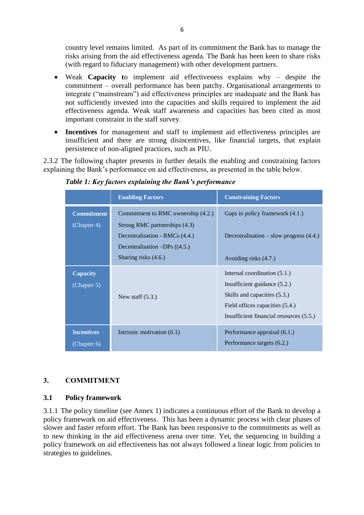country level remains limited. As part of its commitment the Bank has to manage the risks arising from the aid effectiveness agenda. The Bank has been keen to share risks (with regard to fiduciary management) with other development partners.

- Weak **Capacity t**o implement aid effectiveness explains why despite the commitment – overall performance has been patchy. Organisational arrangements to integrate ("mainstream") aid effectiveness principles are inadequate and the Bank has not sufficiently invested into the capacities and skills required to implement the aid effectiveness agenda. Weak staff awareness and capacities has been cited as most important constraint in the staff survey.
- **Incentives** for management and staff to implement aid effectiveness principles are insufficient and there are strong disincentives, like financial targets, that explain persistence of non-aligned practices, such as PIU.

2.3.2 The following chapter presents in further details the enabling and constraining factors explaining the Bank"s performance on aid effectiveness, as presented in the table below.

|                                  | <b>Enabling Factors</b>                                                                            | <b>Constraining Factors</b>                                                                                                                                                  |
|----------------------------------|----------------------------------------------------------------------------------------------------|------------------------------------------------------------------------------------------------------------------------------------------------------------------------------|
| <b>Commitment</b>                | Commitment to RMC ownership (4.2.)                                                                 | Gaps in policy framework (4.1.)                                                                                                                                              |
| (Chapter 4)                      | Strong RMC partnerships (4.3)<br>Decentralisation - RMCs (4.4.)<br>Decentralisation $-DPs$ ((4.5.) | Decentralisation $-$ slow progress $(4.4.)$                                                                                                                                  |
|                                  | Sharing risks (4.6.)                                                                               | Avoiding risks (4.7.)                                                                                                                                                        |
| Capacity<br>(Chapter 5)          | New staff $(5.3.)$                                                                                 | Internal coordination $(5.1.)$<br>Insufficient guidance (5.2.)<br>Skills and capacities (5.3.)<br>Field offices capacities (5.4.)<br>Insufficient financial resources (5.5.) |
| <b>Incentives</b><br>(Chapter 6) | Intrinsic motivation (6.1)                                                                         | Performance appraisal (6.1.)<br>Performance targets (6.2.)                                                                                                                   |

*Table 1: Key factors explaining the Bank's performance*

# <span id="page-16-0"></span>**3. COMMITMENT**

# <span id="page-16-1"></span>**3.1 Policy framework**

3.1.1 The policy timeline (see Annex 1) indicates a continuous effort of the Bank to develop a policy framework on aid effectiveness. This has been a dynamic process with clear phases of slower and faster reform effort. The Bank has been responsive to the commitments as well as to new thinking in the aid effectiveness arena over time. Yet, the sequencing in building a policy framework on aid effectiveness has not always followed a linear logic from policies to strategies to guidelines.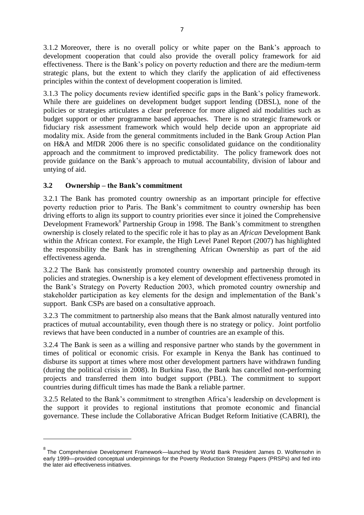3.1.2 Moreover, there is no overall policy or white paper on the Bank"s approach to development cooperation that could also provide the overall policy framework for aid effectiveness. There is the Bank"s policy on poverty reduction and there are the medium-term strategic plans, but the extent to which they clarify the application of aid effectiveness principles within the context of development cooperation is limited.

3.1.3 The policy documents review identified specific gaps in the Bank"s policy framework. While there are guidelines on development budget support lending (DBSL), none of the policies or strategies articulates a clear preference for more aligned aid modalities such as budget support or other programme based approaches. There is no strategic framework or fiduciary risk assessment framework which would help decide upon an appropriate aid modality mix. Aside from the general commitments included in the Bank Group Action Plan on H&A and MfDR 2006 there is no specific consolidated guidance on the conditionality approach and the commitment to improved predictability. The policy framework does not provide guidance on the Bank"s approach to mutual accountability, division of labour and untying of aid.

# <span id="page-17-0"></span>**3.2 Ownership – the Bank's commitment**

l

3.2.1 The Bank has promoted country ownership as an important principle for effective poverty reduction prior to Paris. The Bank"s commitment to country ownership has been driving efforts to align its support to country priorities ever since it joined the Comprehensive Development Framework<sup>8</sup> Partnership Group in 1998. The Bank's commitment to strengthen ownership is closely related to the specific role it has to play as an *African* Development Bank within the African context. For example, the High Level Panel Report (2007) has highlighted the responsibility the Bank has in strengthening African Ownership as part of the aid effectiveness agenda.

3.2.2 The Bank has consistently promoted country ownership and partnership through its policies and strategies. Ownership is a key element of development effectiveness promoted in the Bank"s Strategy on Poverty Reduction 2003, which promoted country ownership and stakeholder participation as key elements for the design and implementation of the Bank"s support. Bank CSPs are based on a consultative approach.

3.2.3 The commitment to partnership also means that the Bank almost naturally ventured into practices of mutual accountability, even though there is no strategy or policy. Joint portfolio reviews that have been conducted in a number of countries are an example of this.

3.2.4 The Bank is seen as a willing and responsive partner who stands by the government in times of political or economic crisis. For example in Kenya the Bank has continued to disburse its support at times where most other development partners have withdrawn funding (during the political crisis in 2008). In Burkina Faso, the Bank has cancelled non-performing projects and transferred them into budget support (PBL). The commitment to support countries during difficult times has made the Bank a reliable partner.

3.2.5 Related to the Bank"s commitment to strengthen Africa"s leadership on development is the support it provides to regional institutions that promote economic and financial governance. These include the Collaborative African Budget Reform Initiative (CABRI), the

<sup>&</sup>lt;sup>8</sup> The Comprehensive Development Framework—launched by World Bank President James D. Wolfensohn in early 1999—provided conceptual underpinnings for the Poverty Reduction Strategy Papers (PRSPs) and fed into the later aid effectiveness initiatives.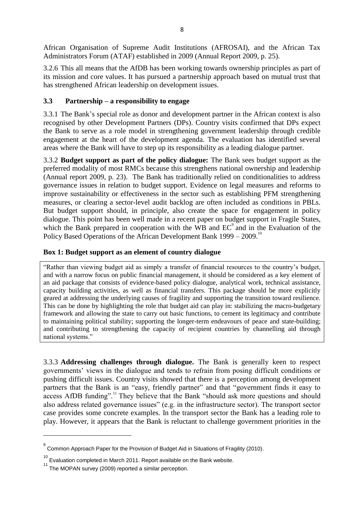African Organisation of Supreme Audit Institutions (AFROSAI), and the African Tax Administrators Forum (ATAF) established in 2009 (Annual Report 2009, p. 25).

3.2.6 This all means that the AfDB has been working towards ownership principles as part of its mission and core values. It has pursued a partnership approach based on mutual trust that has strengthened African leadership on development issues.

# <span id="page-18-0"></span>**3.3 Partnership – a responsibility to engage**

3.3.1 The Bank"s special role as donor and development partner in the African context is also recognised by other Development Partners (DPs). Country visits confirmed that DPs expect the Bank to serve as a role model in strengthening government leadership through credible engagement at the heart of the development agenda. The evaluation has identified several areas where the Bank will have to step up its responsibility as a leading dialogue partner.

3.3.2 **Budget support as part of the policy dialogue:** The Bank sees budget support as the preferred modality of most RMCs because this strengthens national ownership and leadership (Annual report 2009, p. 23). The Bank has traditionally relied on conditionalities to address governance issues in relation to budget support. Evidence on legal measures and reforms to improve sustainability or effectiveness in the sector such as establishing PFM strengthening measures, or clearing a sector-level audit backlog are often included as conditions in PBLs. But budget support should, in principle, also create the space for engagement in policy dialogue. This point has been well made in a recent paper on budget support in Fragile States, which the Bank prepared in cooperation with the WB and  $EC^{\circ}$  and in the Evaluation of the Policy Based Operations of the African Development Bank  $1999 - 2009$ <sup>10</sup>

# <span id="page-18-1"></span>**Box 1: Budget support as an element of country dialogue**

"Rather than viewing budget aid as simply a transfer of financial resources to the country"s budget, and with a narrow focus on public financial management, it should be considered as a key element of an aid package that consists of evidence-based policy dialogue, analytical work, technical assistance, capacity building activities, as well as financial transfers. This package should be more explicitly geared at addressing the underlying causes of fragility and supporting the transition toward resilience. This can be done by highlighting the role that budget aid can play in: stabilizing the macro-budgetary framework and allowing the state to carry out basic functions, to cement its legitimacy and contribute to maintaining political stability; supporting the longer-term endeavours of peace and state-building; and contributing to strengthening the capacity of recipient countries by channelling aid through national systems."

3.3.3 **Addressing challenges through dialogue.** The Bank is generally keen to respect governments" views in the dialogue and tends to refrain from posing difficult conditions or pushing difficult issues. Country visits showed that there is a perception among development partners that the Bank is an "easy, friendly partner" and that "government finds it easy to access AfDB funding".<sup>11</sup> They believe that the Bank "should ask more questions and should also address related governance issues" (e.g. in the infrastructure sector). The transport sector case provides some concrete examples. In the transport sector the Bank has a leading role to play. However, it appears that the Bank is reluctant to challenge government priorities in the

 $\overline{\phantom{a}}$ 

 $^9$  Common Approach Paper for the Provision of Budget Aid in Situations of Fragility (2010).

<sup>&</sup>lt;sup>10</sup> Evaluation completed in March 2011. Report available on the Bank website.

 $11$  The MOPAN survey (2009) reported a similar perception.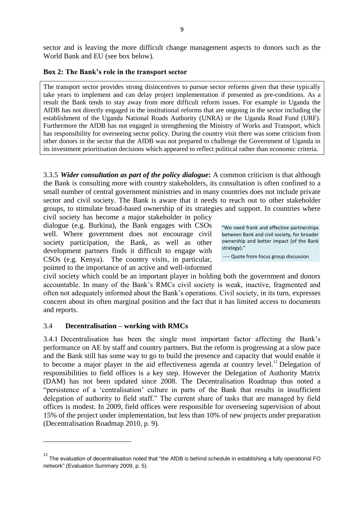sector and is leaving the more difficult change management aspects to donors such as the World Bank and EU (see box below).

#### <span id="page-19-1"></span>**Box 2: The Bank's role in the transport sector**

The transport sector provides strong disincentives to pursue sector reforms given that these typically take years to implement and can delay project implementation if presented as pre-conditions. As a result the Bank tends to stay away from more difficult reform issues. For example in Uganda the AfDB has not directly engaged in the institutional reforms that are ongoing in the sector including the establishment of the Uganda National Roads Authority (UNRA) or the Uganda Road Fund (URF). Furthermore the AfDB has not engaged in strengthening the Ministry of Works and Transport, which has responsibility for overseeing sector policy. During the country visit there was some criticism from other donors in the sector that the AfDB was not prepared to challenge the Government of Uganda in its investment prioritisation decisions which appeared to reflect political rather than economic criteria.

3.3.5 *Wider consultation as part of the policy dialogue***:** A common criticism is that although the Bank is consulting more with country stakeholders, its consultation is often confined to a small number of central government ministries and in many countries does not include private sector and civil society. The Bank is aware that it needs to reach out to other stakeholder groups, to stimulate broad-based ownership of its strategies and support. In countries where

civil society has become a major stakeholder in policy dialogue (e.g. Burkina), the Bank engages with CSOs well. Where government does not encourage civil society participation, the Bank, as well as other development partners finds it difficult to engage with CSOs (e.g. Kenya). The country visits, in particular, pointed to the importance of an active and well-informed

"We need frank and effective partnerships between Bank and civil society, for broader ownership and better impact (of the Bank strategy)."

---- Quote from focus group discussion

civil society which could be an important player in holding both the government and donors accountable. In many of the Bank"s RMCs civil society is weak, inactive, fragmented and often not adequately informed about the Bank"s operations. Civil society, in its turn, expresses concern about its often marginal position and the fact that it has limited access to documents and reports.

#### <span id="page-19-0"></span>3.4 **Decentralisation – working with RMCs**

 $\overline{\phantom{a}}$ 

3.4.1 Decentralisation has been the single most important factor affecting the Bank"s performance on AE by staff and country partners. But the reform is progressing at a slow pace and the Bank still has some way to go to build the presence and capacity that would enable it to become a major player in the aid effectiveness agenda at country level.<sup>12</sup> Delegation of responsibilities to field offices is a key step. However the Delegation of Authority Matrix (DAM) has not been updated since 2008. The Decentralisation Roadmap thus noted a "persistence of a "centralisation" culture in parts of the Bank that results in insufficient delegation of authority to field staff." The current share of tasks that are managed by field offices is modest. In 2009, field offices were responsible for overseeing supervision of about 15% of the project under implementation, but less than 10% of new projects under preparation (Decentralisation Roadmap 2010, p. 9).

 $12$  The evaluation of decentralisation noted that "the AfDB is behind schedule in establishing a fully operational FO network" (Evaluation Summary 2009, p. 5).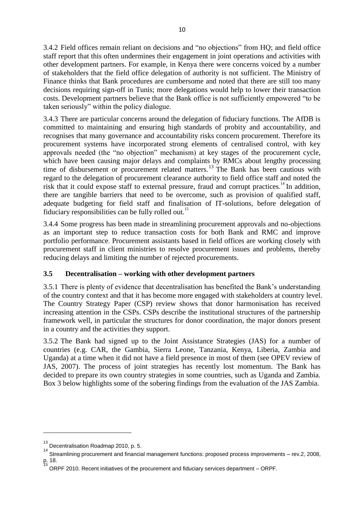3.4.2 Field offices remain reliant on decisions and "no objections" from HQ; and field office staff report that this often undermines their engagement in joint operations and activities with other development partners. For example, in Kenya there were concerns voiced by a number of stakeholders that the field office delegation of authority is not sufficient. The Ministry of Finance thinks that Bank procedures are cumbersome and noted that there are still too many decisions requiring sign-off in Tunis; more delegations would help to lower their transaction costs. Development partners believe that the Bank office is not sufficiently empowered "to be taken seriously" within the policy dialogue.

3.4.3 There are particular concerns around the delegation of fiduciary functions. The AfDB is committed to maintaining and ensuring high standards of probity and accountability, and recognises that many governance and accountability risks concern procurement. Therefore its procurement systems have incorporated strong elements of centralised control, with key approvals needed (the "no objection" mechanism) at key stages of the procurement cycle, which have been causing major delays and complaints by RMCs about lengthy processing time of disbursement or procurement related matters.<sup>13</sup> The Bank has been cautious with regard to the delegation of procurement clearance authority to field office staff and noted the risk that it could expose staff to external pressure, fraud and corrupt practices.<sup>14</sup> In addition, there are tangible barriers that need to be overcome, such as provision of qualified staff, adequate budgeting for field staff and finalisation of IT-solutions, before delegation of fiduciary responsibilities can be fully rolled out.<sup>15</sup>

3.4.4 Some progress has been made in streamlining procurement approvals and no-objections as an important step to reduce transaction costs for both Bank and RMC and improve portfolio performance. Procurement assistants based in field offices are working closely with procurement staff in client ministries to resolve procurement issues and problems, thereby reducing delays and limiting the number of rejected procurements.

# <span id="page-20-0"></span>**3.5 Decentralisation – working with other development partners**

3.5.1 There is plenty of evidence that decentralisation has benefited the Bank"s understanding of the country context and that it has become more engaged with stakeholders at country level. The Country Strategy Paper (CSP) review shows that donor harmonisation has received increasing attention in the CSPs. CSPs describe the institutional structures of the partnership framework well, in particular the structures for donor coordination, the major donors present in a country and the activities they support.

3.5.2 The Bank had signed up to the Joint Assistance Strategies (JAS) for a number of countries (e.g. CAR, the Gambia, Sierra Leone, Tanzania, Kenya, Liberia, Zambia and Uganda) at a time when it did not have a field presence in most of them (see OPEV review of JAS, 2007). The process of joint strategies has recently lost momentum. The Bank has decided to prepare its own country strategies in some countries, such as Uganda and Zambia. Box 3 below highlights some of the sobering findings from the evaluation of the JAS Zambia.

<span id="page-20-1"></span> $\overline{\phantom{a}}$ 

<sup>&</sup>lt;sup>13</sup> Decentralisation Roadmap 2010, p. 5.

<sup>&</sup>lt;sup>14</sup> Streamlining procurement and financial management functions: proposed process improvements – rev.2, 2008, p. 18.<br><sup>15</sup> ORPF 2010. Recent initiatives of the procurement and fiduciary services department – ORPF.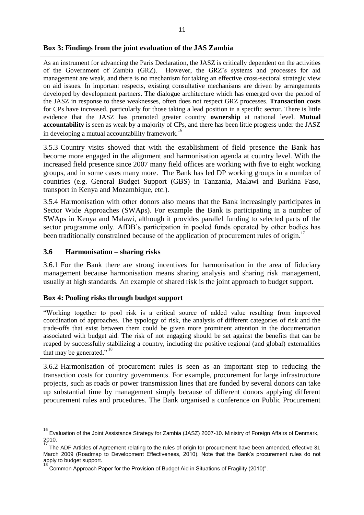#### **Box 3: Findings from the joint evaluation of the JAS Zambia**

As an instrument for advancing the Paris Declaration, the JASZ is critically dependent on the activities of the Government of Zambia (GRZ). However, the GRZ"s systems and processes for aid management are weak, and there is no mechanism for taking an effective cross-sectoral strategic view on aid issues. In important respects, existing consultative mechanisms are driven by arrangements developed by development partners. The dialogue architecture which has emerged over the period of the JASZ in response to these weaknesses, often does not respect GRZ processes. **Transaction costs** for CPs have increased, particularly for those taking a lead position in a specific sector. There is little evidence that the JASZ has promoted greater country **ownership** at national level. **Mutual accountability** is seen as weak by a majority of CPs, and there has been little progress under the JASZ in developing a mutual accountability framework.<sup>16</sup>

3.5.3 Country visits showed that with the establishment of field presence the Bank has become more engaged in the alignment and harmonisation agenda at country level. With the increased field presence since 2007 many field offices are working with five to eight working groups, and in some cases many more. The Bank has led DP working groups in a number of countries (e.g. General Budget Support (GBS) in Tanzania, Malawi and Burkina Faso, transport in Kenya and Mozambique, etc.).

3.5.4 Harmonisation with other donors also means that the Bank increasingly participates in Sector Wide Approaches (SWAps). For example the Bank is participating in a number of SWAps in Kenya and Malawi, although it provides parallel funding to selected parts of the sector programme only. AfDB's participation in pooled funds operated by other bodies has been traditionally constrained because of the application of procurement rules of origin.<sup>17</sup>

#### <span id="page-21-0"></span>**3.6 Harmonisation – sharing risks**

 $\overline{\phantom{a}}$ 

3.6.1 For the Bank there are strong incentives for harmonisation in the area of fiduciary management because harmonisation means sharing analysis and sharing risk management, usually at high standards. An example of shared risk is the joint approach to budget support.

#### <span id="page-21-1"></span>**Box 4: Pooling risks through budget support**

"Working together to pool risk is a critical source of added value resulting from improved coordination of approaches. The typology of risk, the analysis of different categories of risk and the trade-offs that exist between them could be given more prominent attention in the documentation associated with budget aid. The risk of not engaging should be set against the benefits that can be reaped by successfully stabilizing a country, including the positive regional (and global) externalities that may be generated."<sup>18</sup>

3.6.2 Harmonisation of procurement rules is seen as an important step to reducing the transaction costs for country governments. For example, procurement for large infrastructure projects, such as roads or power transmission lines that are funded by several donors can take up substantial time by management simply because of different donors applying different procurement rules and procedures. The Bank organised a conference on Public Procurement

<sup>&</sup>lt;sup>16</sup> Evaluation of the Joint Assistance Strategy for Zambia (JASZ) 2007-10. Ministry of Foreign Affairs of Denmark, 2010. 17

The ADF Articles of Agreement relating to the rules of origin for procurement have been amended, effective 31 March 2009 (Roadmap to Development Effectiveness, 2010). Note that the Bank's procurement rules do not apply to budget support. 18

Common Approach Paper for the Provision of Budget Aid in Situations of Fragility (2010)".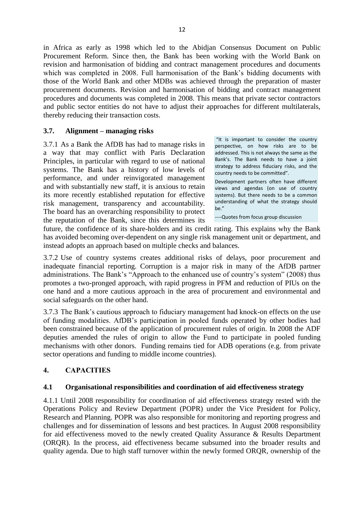in Africa as early as 1998 which led to the Abidjan Consensus Document on Public Procurement Reform. Since then, the Bank has been working with the World Bank on revision and harmonisation of bidding and contract management procedures and documents which was completed in 2008. Full harmonisation of the Bank's bidding documents with those of the World Bank and other MDBs was achieved through the preparation of master procurement documents. Revision and harmonisation of bidding and contract management procedures and documents was completed in 2008. This means that private sector contractors and public sector entities do not have to adjust their approaches for different multilaterals, thereby reducing their transaction costs.

## <span id="page-22-0"></span>**3.7. Alignment – managing risks**

3.7.1 As a Bank the AfDB has had to manage risks in a way that may conflict with Paris Declaration Principles, in particular with regard to use of national systems. The Bank has a history of low levels of performance, and under reinvigorated management and with substantially new staff, it is anxious to retain its more recently established reputation for effective risk management, transparency and accountability. The board has an overarching responsibility to protect the reputation of the Bank, since this determines its

"It is important to consider the country perspective, on how risks are to be addressed. This is not always the same as the Bank's. The Bank needs to have a joint strategy to address fiduciary risks, and the country needs to be committed".

Development partners often have different views and agendas (on use of country systems). But there needs to be a common understanding of what the strategy should be."

----Quotes from focus group discussion

future, the confidence of its share-holders and its credit rating. This explains why the Bank has avoided becoming over-dependent on any single risk management unit or department, and instead adopts an approach based on multiple checks and balances.

3.7.2 Use of country systems creates additional risks of delays, poor procurement and inadequate financial reporting. Corruption is a major risk in many of the AfDB partner administrations. The Bank's "Approach to the enhanced use of country's system" (2008) thus promotes a two-pronged approach, with rapid progress in PFM and reduction of PIUs on the one hand and a more cautious approach in the area of procurement and environmental and social safeguards on the other hand.

3.7.3 The Bank"s cautious approach to fiduciary management had knock-on effects on the use of funding modalities. AfDB"s participation in pooled funds operated by other bodies had been constrained because of the application of procurement rules of origin. In 2008 the ADF deputies amended the rules of origin to allow the Fund to participate in pooled funding mechanisms with other donors. Funding remains tied for ADB operations (e.g. from private sector operations and funding to middle income countries).

# <span id="page-22-1"></span>**4. CAPACITIES**

#### <span id="page-22-2"></span>**4.1 Organisational responsibilities and coordination of aid effectiveness strategy**

4.1.1 Until 2008 responsibility for coordination of aid effectiveness strategy rested with the Operations Policy and Review Department (POPR) under the Vice President for Policy, Research and Planning. POPR was also responsible for monitoring and reporting progress and challenges and for dissemination of lessons and best practices. In August 2008 responsibility for aid effectiveness moved to the newly created Quality Assurance & Results Department (ORQR). In the process, aid effectiveness became subsumed into the broader results and quality agenda. Due to high staff turnover within the newly formed ORQR, ownership of the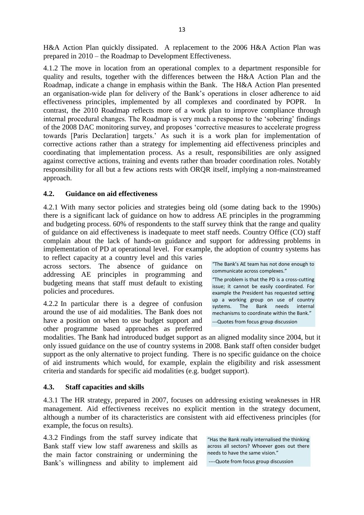H&A Action Plan quickly dissipated. A replacement to the 2006 H&A Action Plan was prepared in 2010 – the Roadmap to Development Effectiveness.

4.1.2 The move in location from an operational complex to a department responsible for quality and results, together with the differences between the H&A Action Plan and the Roadmap, indicate a change in emphasis within the Bank. The H&A Action Plan presented an organisation-wide plan for delivery of the Bank"s operations in closer adherence to aid effectiveness principles, implemented by all complexes and coordinated by POPR. In contrast, the 2010 Roadmap reflects more of a work plan to improve compliance through internal procedural changes. The Roadmap is very much a response to the 'sobering' findings of the 2008 DAC monitoring survey, and proposes "corrective measures to accelerate progress towards [Paris Declaration] targets." As such it is a work plan for implementation of corrective actions rather than a strategy for implementing aid effectiveness principles and coordinating that implementation process. As a result, responsibilities are only assigned against corrective actions, training and events rather than broader coordination roles. Notably responsibility for all but a few actions rests with ORQR itself, implying a non-mainstreamed approach.

#### <span id="page-23-0"></span>**4.2. Guidance on aid effectiveness**

4.2.1 With many sector policies and strategies being old (some dating back to the 1990s) there is a significant lack of guidance on how to address AE principles in the programming and budgeting process. 60% of respondents to the staff survey think that the range and quality of guidance on aid effectiveness is inadequate to meet staff needs. Country Office (CO) staff complain about the lack of hands-on guidance and support for addressing problems in implementation of PD at operational level. For example, the adoption of country systems has

to reflect capacity at a country level and this varies across sectors. The absence of guidance on addressing AE principles in programming and budgeting means that staff must default to existing policies and procedures.

4.2.2 In particular there is a degree of confusion around the use of aid modalities. The Bank does not have a position on when to use budget support and other programme based approaches as preferred "The Bank's AE team has not done enough to communicate across complexes."

"The problem is that the PD is a cross-cutting issue; it cannot be easily coordinated. For example the President has requested setting up a working group on use of country systems. The Bank needs internal mechanisms to coordinate within the Bank." ---Quotes from focus group discussion

modalities. The Bank had introduced budget support as an aligned modality since 2004, but it only issued guidance on the use of country systems in 2008. Bank staff often consider budget support as the only alternative to project funding. There is no specific guidance on the choice of aid instruments which would, for example, explain the eligibility and risk assessment criteria and standards for specific aid modalities (e.g. budget support).

#### <span id="page-23-1"></span>**4.3. Staff capacities and skills**

4.3.1 The HR strategy, prepared in 2007, focuses on addressing existing weaknesses in HR management. Aid effectiveness receives no explicit mention in the strategy document, although a number of its characteristics are consistent with aid effectiveness principles (for example, the focus on results).

4.3.2 Findings from the staff survey indicate that Bank staff view low staff awareness and skills as the main factor constraining or undermining the Bank"s willingness and ability to implement aid

"Has the Bank really internalised the thinking across all sectors? Whoever goes out there needs to have the same vision."

----Quote from focus group discussion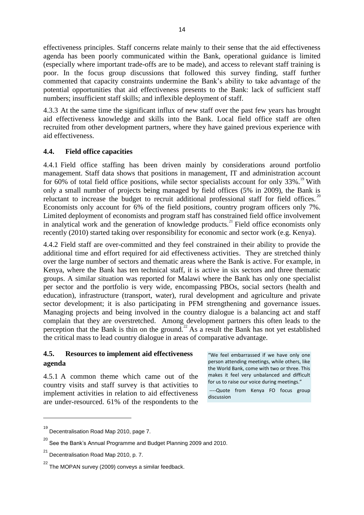effectiveness principles. Staff concerns relate mainly to their sense that the aid effectiveness agenda has been poorly communicated within the Bank, operational guidance is limited (especially where important trade-offs are to be made), and access to relevant staff training is poor. In the focus group discussions that followed this survey finding, staff further commented that capacity constraints undermine the Bank"s ability to take advantage of the potential opportunities that aid effectiveness presents to the Bank: lack of sufficient staff numbers; insufficient staff skills; and inflexible deployment of staff.

4.3.3 At the same time the significant influx of new staff over the past few years has brought aid effectiveness knowledge and skills into the Bank. Local field office staff are often recruited from other development partners, where they have gained previous experience with aid effectiveness.

## <span id="page-24-0"></span>**4.4. Field office capacities**

4.4.1 Field office staffing has been driven mainly by considerations around portfolio management. Staff data shows that positions in management, IT and administration account for 60% of total field office positions, while sector specialists account for only  $33\%$ .<sup>19</sup> With only a small number of projects being managed by field offices (5% in 2009), the Bank is reluctant to increase the budget to recruit additional professional staff for field offices.<sup>20</sup> Economists only account for 6% of the field positions, country program officers only 7%. Limited deployment of economists and program staff has constrained field office involvement in analytical work and the generation of knowledge products.<sup>21</sup> Field office economists only recently (2010) started taking over responsibility for economic and sector work (e.g. Kenya).

4.4.2 Field staff are over-committed and they feel constrained in their ability to provide the additional time and effort required for aid effectiveness activities. They are stretched thinly over the large number of sectors and thematic areas where the Bank is active. For example, in Kenya, where the Bank has ten technical staff, it is active in six sectors and three thematic groups. A similar situation was reported for Malawi where the Bank has only one specialist per sector and the portfolio is very wide, encompassing PBOs, social sectors (health and education), infrastructure (transport, water), rural development and agriculture and private sector development; it is also participating in PFM strengthening and governance issues. Managing projects and being involved in the country dialogue is a balancing act and staff complain that they are overstretched. Among development partners this often leads to the perception that the Bank is thin on the ground.<sup>22</sup> As a result the Bank has not yet established the critical mass to lead country dialogue in areas of comparative advantage.

# <span id="page-24-1"></span>**4.5. Resources to implement aid effectiveness agenda**

4.5.1 A common theme which came out of the country visits and staff survey is that activities to implement activities in relation to aid effectiveness are under-resourced. 61% of the respondents to the

"We feel embarrassed if we have only one person attending meetings, while others, like the World Bank, come with two or three. This makes it feel very unbalanced and difficult for us to raise our voice during meetings."

----Quote from Kenya FO focus group discussion

 $\overline{a}$ 

<sup>&</sup>lt;sup>19</sup> Decentralisation Road Map 2010, page 7.

 $^{20}$  See the Bank's Annual Programme and Budget Planning 2009 and 2010.

<sup>&</sup>lt;sup>21</sup> Decentralisation Road Map 2010, p. 7.

 $^{22}$  The MOPAN survey (2009) conveys a similar feedback.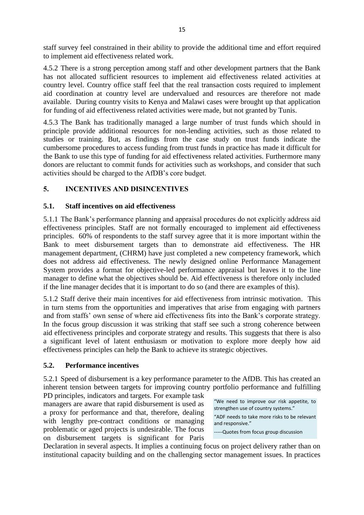staff survey feel constrained in their ability to provide the additional time and effort required to implement aid effectiveness related work.

4.5.2 There is a strong perception among staff and other development partners that the Bank has not allocated sufficient resources to implement aid effectiveness related activities at country level. Country office staff feel that the real transaction costs required to implement aid coordination at country level are undervalued and resources are therefore not made available. During country visits to Kenya and Malawi cases were brought up that application for funding of aid effectiveness related activities were made, but not granted by Tunis.

4.5.3 The Bank has traditionally managed a large number of trust funds which should in principle provide additional resources for non-lending activities, such as those related to studies or training. But, as findings from the case study on trust funds indicate the cumbersome procedures to access funding from trust funds in practice has made it difficult for the Bank to use this type of funding for aid effectiveness related activities. Furthermore many donors are reluctant to commit funds for activities such as workshops, and consider that such activities should be charged to the AfDB"s core budget.

# <span id="page-25-0"></span>**5. INCENTIVES AND DISINCENTIVES**

## <span id="page-25-1"></span>**5.1. Staff incentives on aid effectiveness**

5.1.1 The Bank"s performance planning and appraisal procedures do not explicitly address aid effectiveness principles. Staff are not formally encouraged to implement aid effectiveness principles. 60% of respondents to the staff survey agree that it is more important within the Bank to meet disbursement targets than to demonstrate aid effectiveness. The HR management department, (CHRM) have just completed a new competency framework, which does not address aid effectiveness. The newly designed online Performance Management System provides a format for objective-led performance appraisal but leaves it to the line manager to define what the objectives should be. Aid effectiveness is therefore only included if the line manager decides that it is important to do so (and there are examples of this).

5.1.2 Staff derive their main incentives for aid effectiveness from intrinsic motivation. This in turn stems from the opportunities and imperatives that arise from engaging with partners and from staffs' own sense of where aid effectiveness fits into the Bank's corporate strategy. In the focus group discussion it was striking that staff see such a strong coherence between aid effectiveness principles and corporate strategy and results. This suggests that there is also a significant level of latent enthusiasm or motivation to explore more deeply how aid effectiveness principles can help the Bank to achieve its strategic objectives.

#### <span id="page-25-2"></span>**5.2. Performance incentives**

5.2.1 Speed of disbursement is a key performance parameter to the AfDB. This has created an inherent tension between targets for improving country portfolio performance and fulfilling

PD principles, indicators and targets. For example task managers are aware that rapid disbursement is used as a proxy for performance and that, therefore, dealing with lengthy pre-contract conditions or managing problematic or aged projects is undesirable. The focus on disbursement targets is significant for Paris

"We need to improve our risk appetite, to strengthen use of country systems." "ADF needs to take more risks to be relevant and responsive."

-----Quotes from focus group discussion

Declaration in several aspects. It implies a continuing focus on project delivery rather than on institutional capacity building and on the challenging sector management issues. In practices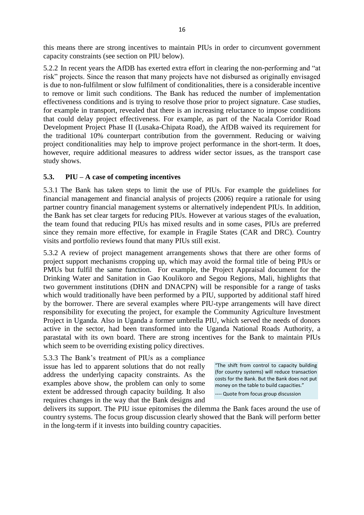this means there are strong incentives to maintain PIUs in order to circumvent government capacity constraints (see section on PIU below).

5.2.2 In recent years the AfDB has exerted extra effort in clearing the non-performing and "at risk" projects. Since the reason that many projects have not disbursed as originally envisaged is due to non-fulfilment or slow fulfilment of conditionalities, there is a considerable incentive to remove or limit such conditions. The Bank has reduced the number of implementation effectiveness conditions and is trying to resolve those prior to project signature. Case studies, for example in transport, revealed that there is an increasing reluctance to impose conditions that could delay project effectiveness. For example, as part of the Nacala Corridor Road Development Project Phase II (Lusaka-Chipata Road), the AfDB waived its requirement for the traditional 10% counterpart contribution from the government. Reducing or waiving project conditionalities may help to improve project performance in the short-term. It does, however, require additional measures to address wider sector issues, as the transport case study shows.

#### <span id="page-26-0"></span>**5.3. PIU – A case of competing incentives**

5.3.1 The Bank has taken steps to limit the use of PIUs. For example the guidelines for financial management and financial analysis of projects (2006) require a rationale for using partner country financial management systems or alternatively independent PIUs. In addition, the Bank has set clear targets for reducing PIUs. However at various stages of the evaluation, the team found that reducing PIUs has mixed results and in some cases, PIUs are preferred since they remain more effective, for example in Fragile States (CAR and DRC). Country visits and portfolio reviews found that many PIUs still exist.

5.3.2 A review of project management arrangements shows that there are other forms of project support mechanisms cropping up, which may avoid the formal title of being PIUs or PMUs but fulfil the same function.For example, the Project Appraisal document for the Drinking Water and Sanitation in Gao Koulikoro and Segou Regions, Mali, highlights that two government institutions (DHN and DNACPN) will be responsible for a range of tasks which would traditionally have been performed by a PIU, supported by additional staff hired by the borrower. There are several examples where PIU-type arrangements will have direct responsibility for executing the project, for example the Community Agriculture Investment Project in Uganda. Also in Uganda a former umbrella PIU, which served the needs of donors active in the sector, had been transformed into the Uganda National Roads Authority, a parastatal with its own board. There are strong incentives for the Bank to maintain PIUs which seem to be overriding existing policy directives.

5.3.3 The Bank"s treatment of PIUs as a compliance issue has led to apparent solutions that do not really address the underlying capacity constraints. As the examples above show, the problem can only to some extent be addressed through capacity building. It also requires changes in the way that the Bank designs and

"The shift from control to capacity building (for country systems) will reduce transaction costs for the Bank. But the Bank does not put money on the table to build capacities."

---- Quote from focus group discussion

delivers its support. The PIU issue epitomises the dilemma the Bank faces around the use of country systems. The focus group discussion clearly showed that the Bank will perform better in the long-term if it invests into building country capacities.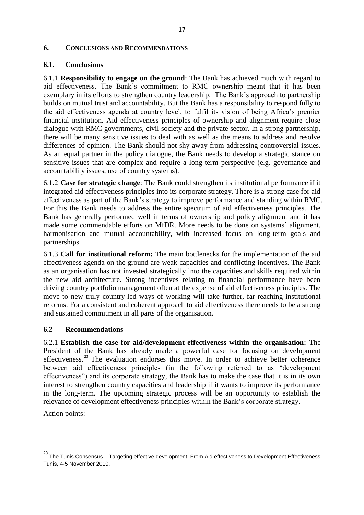#### <span id="page-27-0"></span>**6. CONCLUSIONS AND RECOMMENDATIONS**

#### <span id="page-27-1"></span>**6.1. Conclusions**

6.1.1 **Responsibility to engage on the ground**: The Bank has achieved much with regard to aid effectiveness. The Bank"s commitment to RMC ownership meant that it has been exemplary in its efforts to strengthen country leadership. The Bank"s approach to partnership builds on mutual trust and accountability. But the Bank has a responsibility to respond fully to the aid effectiveness agenda at country level, to fulfil its vision of being Africa"s premier financial institution. Aid effectiveness principles of ownership and alignment require close dialogue with RMC governments, civil society and the private sector. In a strong partnership, there will be many sensitive issues to deal with as well as the means to address and resolve differences of opinion. The Bank should not shy away from addressing controversial issues. As an equal partner in the policy dialogue, the Bank needs to develop a strategic stance on sensitive issues that are complex and require a long-term perspective (e.g. governance and accountability issues, use of country systems).

6.1.2 **Case for strategic change**: The Bank could strengthen its institutional performance if it integrated aid effectiveness principles into its corporate strategy. There is a strong case for aid effectiveness as part of the Bank"s strategy to improve performance and standing within RMC. For this the Bank needs to address the entire spectrum of aid effectiveness principles. The Bank has generally performed well in terms of ownership and policy alignment and it has made some commendable efforts on MfDR. More needs to be done on systems' alignment, harmonisation and mutual accountability, with increased focus on long-term goals and partnerships.

6.1.3 **Call for institutional reform:** The main bottlenecks for the implementation of the aid effectiveness agenda on the ground are weak capacities and conflicting incentives. The Bank as an organisation has not invested strategically into the capacities and skills required within the new aid architecture. Strong incentives relating to financial performance have been driving country portfolio management often at the expense of aid effectiveness principles. The move to new truly country-led ways of working will take further, far-reaching institutional reforms. For a consistent and coherent approach to aid effectiveness there needs to be a strong and sustained commitment in all parts of the organisation.

#### <span id="page-27-2"></span>**6.2 Recommendations**

6.2.1 **Establish the case for aid/development effectiveness within the organisation:** The President of the Bank has already made a powerful case for focusing on development effectiveness.<sup>23</sup> The evaluation endorses this move. In order to achieve better coherence between aid effectiveness principles (in the following referred to as "development effectiveness") and its corporate strategy, the Bank has to make the case that it is in its own interest to strengthen country capacities and leadership if it wants to improve its performance in the long-term. The upcoming strategic process will be an opportunity to establish the relevance of development effectiveness principles within the Bank"s corporate strategy.

Action points:

 $\overline{\phantom{a}}$ 

<sup>&</sup>lt;sup>23</sup> The Tunis Consensus – Targeting effective development: From Aid effectiveness to Development Effectiveness. Tunis, 4-5 November 2010.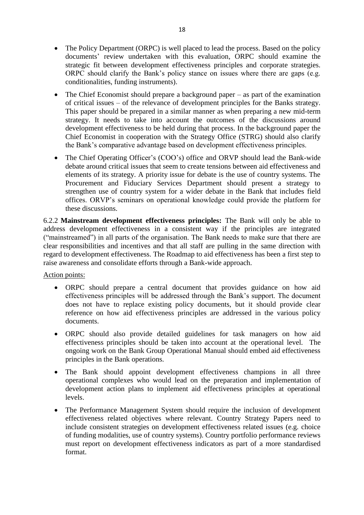- The Policy Department (ORPC) is well placed to lead the process. Based on the policy documents' review undertaken with this evaluation, ORPC should examine the strategic fit between development effectiveness principles and corporate strategies. ORPC should clarify the Bank"s policy stance on issues where there are gaps (e.g. conditionalities, funding instruments).
- The Chief Economist should prepare a background paper as part of the examination of critical issues – of the relevance of development principles for the Banks strategy. This paper should be prepared in a similar manner as when preparing a new mid-term strategy. It needs to take into account the outcomes of the discussions around development effectiveness to be held during that process. In the background paper the Chief Economist in cooperation with the Strategy Office (STRG) should also clarify the Bank"s comparative advantage based on development effectiveness principles.
- The Chief Operating Officer's (COO's) office and ORVP should lead the Bank-wide debate around critical issues that seem to create tensions between aid effectiveness and elements of its strategy. A priority issue for debate is the use of country systems. The Procurement and Fiduciary Services Department should present a strategy to strengthen use of country system for a wider debate in the Bank that includes field offices. ORVP"s seminars on operational knowledge could provide the platform for these discussions.

6.2.2 **Mainstream development effectiveness principles:** The Bank will only be able to address development effectiveness in a consistent way if the principles are integrated ("mainstreamed") in all parts of the organisation. The Bank needs to make sure that there are clear responsibilities and incentives and that all staff are pulling in the same direction with regard to development effectiveness. The Roadmap to aid effectiveness has been a first step to raise awareness and consolidate efforts through a Bank-wide approach.

Action points:

- ORPC should prepare a central document that provides guidance on how aid effectiveness principles will be addressed through the Bank"s support. The document does not have to replace existing policy documents, but it should provide clear reference on how aid effectiveness principles are addressed in the various policy documents.
- ORPC should also provide detailed guidelines for task managers on how aid effectiveness principles should be taken into account at the operational level. The ongoing work on the Bank Group Operational Manual should embed aid effectiveness principles in the Bank operations.
- The Bank should appoint development effectiveness champions in all three operational complexes who would lead on the preparation and implementation of development action plans to implement aid effectiveness principles at operational levels.
- The Performance Management System should require the inclusion of development effectiveness related objectives where relevant. Country Strategy Papers need to include consistent strategies on development effectiveness related issues (e.g. choice of funding modalities, use of country systems). Country portfolio performance reviews must report on development effectiveness indicators as part of a more standardised format.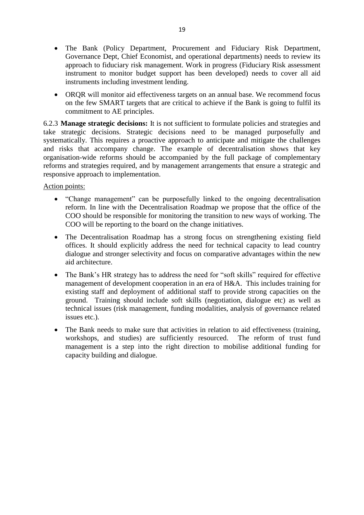- The Bank (Policy Department, Procurement and Fiduciary Risk Department, Governance Dept, Chief Economist, and operational departments) needs to review its approach to fiduciary risk management. Work in progress (Fiduciary Risk assessment instrument to monitor budget support has been developed) needs to cover all aid instruments including investment lending.
- ORQR will monitor aid effectiveness targets on an annual base. We recommend focus on the few SMART targets that are critical to achieve if the Bank is going to fulfil its commitment to AE principles.

6.2.3 **Manage strategic decisions:** It is not sufficient to formulate policies and strategies and take strategic decisions. Strategic decisions need to be managed purposefully and systematically. This requires a proactive approach to anticipate and mitigate the challenges and risks that accompany change. The example of decentralisation shows that key organisation-wide reforms should be accompanied by the full package of complementary reforms and strategies required, and by management arrangements that ensure a strategic and responsive approach to implementation.

Action points:

- "Change management" can be purposefully linked to the ongoing decentralisation reform. In line with the Decentralisation Roadmap we propose that the office of the COO should be responsible for monitoring the transition to new ways of working. The COO will be reporting to the board on the change initiatives.
- The Decentralisation Roadmap has a strong focus on strengthening existing field offices. It should explicitly address the need for technical capacity to lead country dialogue and stronger selectivity and focus on comparative advantages within the new aid architecture.
- The Bank's HR strategy has to address the need for "soft skills" required for effective management of development cooperation in an era of H&A. This includes training for existing staff and deployment of additional staff to provide strong capacities on the ground. Training should include soft skills (negotiation, dialogue etc) as well as technical issues (risk management, funding modalities, analysis of governance related issues etc.).
- The Bank needs to make sure that activities in relation to aid effectiveness (training, workshops, and studies) are sufficiently resourced. The reform of trust fund management is a step into the right direction to mobilise additional funding for capacity building and dialogue.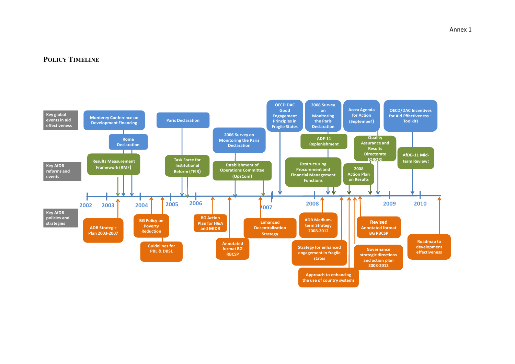#### **POLICY TIMELINE**

<span id="page-30-0"></span>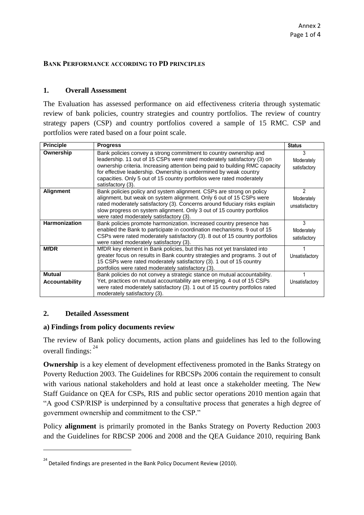#### <span id="page-31-0"></span>**BANK PERFORMANCE ACCORDING TO PD PRINCIPLES**

## **1. Overall Assessment**

The Evaluation has assessed performance on aid effectiveness criteria through systematic review of bank policies, country strategies and country portfolios. The review of country strategy papers (CSP) and country portfolios covered a sample of 15 RMC. CSP and portfolios were rated based on a four point scale.

| <b>Principle</b>                       | <b>Progress</b>                                                                                                                                                                                                                                                                                                                                                                                 | <b>Status</b>                     |
|----------------------------------------|-------------------------------------------------------------------------------------------------------------------------------------------------------------------------------------------------------------------------------------------------------------------------------------------------------------------------------------------------------------------------------------------------|-----------------------------------|
| Ownership                              | Bank policies convey a strong commitment to country ownership and<br>leadership. 11 out of 15 CSPs were rated moderately satisfactory (3) on<br>ownership criteria. Increasing attention being paid to building RMC capacity<br>for effective leadership. Ownership is undermined by weak country<br>capacities. Only 5 out of 15 country portfolios were rated moderately<br>satisfactory (3). | 3<br>Moderately<br>satisfactory   |
| <b>Alignment</b>                       | Bank policies policy and system alignment. CSPs are strong on policy<br>alignment, but weak on system alignment. Only 6 out of 15 CSPs were<br>rated moderately satisfactory (3). Concerns around fiduciary risks explain<br>slow progress on system alignment. Only 3 out of 15 country portfolios<br>were rated moderately satisfactory (3).                                                  | 2<br>Moderately<br>unsatisfactory |
| <b>Harmonization</b>                   | Bank policies promote harmonization. Increased country presence has<br>enabled the Bank to participate in coordination mechanisms. 9 out of 15<br>CSPs were rated moderately satisfactory (3). 8 out of 15 country portfolios<br>were rated moderately satisfactory (3).                                                                                                                        | 3<br>Moderately<br>satisfactory   |
| <b>MfDR</b>                            | MfDR key element in Bank policies, but this has not yet translated into<br>greater focus on results in Bank country strategies and programs. 3 out of<br>15 CSPs were rated moderately satisfactory (3). 1 out of 15 country<br>portfolios were rated moderately satisfactory (3).                                                                                                              | Unsatisfactory                    |
| <b>Mutual</b><br><b>Accountability</b> | Bank policies do not convey a strategic stance on mutual accountability.<br>Yet, practices on mutual accountability are emerging. 4 out of 15 CSPs<br>were rated moderately satisfactory (3). 1 out of 15 country portfolios rated<br>moderately satisfactory (3).                                                                                                                              | Unsatisfactory                    |

#### **2. Detailed Assessment**

 $\overline{a}$ 

# **a) Findings from policy documents review**

The review of Bank policy documents, action plans and guidelines has led to the following overall findings: <sup>24</sup>

**Ownership** is a key element of development effectiveness promoted in the Banks Strategy on Poverty Reduction 2003. The Guidelines for RBCSPs 2006 contain the requirement to consult with various national stakeholders and hold at least once a stakeholder meeting. The New Staff Guidance on QEA for CSPs, RIS and public sector operations 2010 mention again that "A good CSP/RISP is underpinned by a consultative process that generates a high degree of government ownership and commitment to the CSP."

Policy **alignment** is primarily promoted in the Banks Strategy on Poverty Reduction 2003 and the Guidelines for RBCSP 2006 and 2008 and the QEA Guidance 2010, requiring Bank

 $^{24}$  Detailed findings are presented in the Bank Policy Document Review (2010).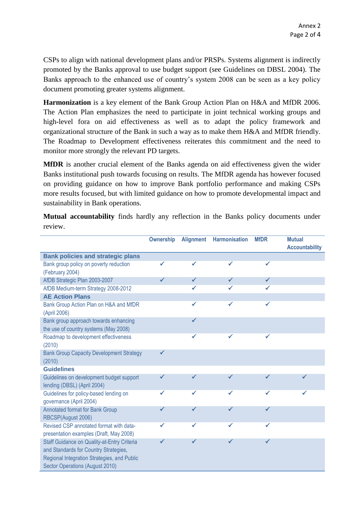CSPs to align with national development plans and/or PRSPs. Systems alignment is indirectly promoted by the Banks approval to use budget support (see Guidelines on DBSL 2004). The Banks approach to the enhanced use of country"s system 2008 can be seen as a key policy document promoting greater systems alignment.

**Harmonization** is a key element of the Bank Group Action Plan on H&A and MfDR 2006. The Action Plan emphasizes the need to participate in joint technical working groups and high-level fora on aid effectiveness as well as to adapt the policy framework and organizational structure of the Bank in such a way as to make them H&A and MfDR friendly. The Roadmap to Development effectiveness reiterates this commitment and the need to monitor more strongly the relevant PD targets.

**MfDR** is another crucial element of the Banks agenda on aid effectiveness given the wider Banks institutional push towards focusing on results. The MfDR agenda has however focused on providing guidance on how to improve Bank portfolio performance and making CSPs more results focused, but with limited guidance on how to promote developmental impact and sustainability in Bank operations.

**Mutual accountability** finds hardly any reflection in the Banks policy documents under review.

|                                                        | <b>Ownership</b> | <b>Alignment</b> | <b>Harmonisation</b> | <b>MfDR</b> | <b>Mutual</b>         |
|--------------------------------------------------------|------------------|------------------|----------------------|-------------|-----------------------|
|                                                        |                  |                  |                      |             | <b>Accountability</b> |
| <b>Bank policies and strategic plans</b>               |                  |                  |                      |             |                       |
| Bank group policy on poverty reduction                 |                  | ✔                |                      |             |                       |
| (February 2004)                                        |                  |                  |                      |             |                       |
| AfDB Strategic Plan 2003-2007                          |                  | ✓                |                      | ✓           |                       |
| AfDB Medium-term Strategy 2008-2012                    |                  | ✓                |                      |             |                       |
| <b>AE Action Plans</b>                                 |                  |                  |                      |             |                       |
| Bank Group Action Plan on H&A and MfDR<br>(April 2006) |                  | ✓                | ✓                    | ✓           |                       |
| Bank group approach towards enhancing                  |                  |                  |                      |             |                       |
| the use of country systems (May 2008)                  |                  |                  |                      |             |                       |
| Roadmap to development effectiveness                   |                  |                  |                      |             |                       |
| (2010)                                                 |                  |                  |                      |             |                       |
| <b>Bank Group Capacity Development Strategy</b>        |                  |                  |                      |             |                       |
| (2010)                                                 |                  |                  |                      |             |                       |
| <b>Guidelines</b>                                      |                  |                  |                      |             |                       |
| Guidelines on development budget support               |                  | ✔                | ✓                    |             |                       |
| lending (DBSL) (April 2004)                            |                  |                  |                      |             |                       |
| Guidelines for policy-based lending on                 |                  | ✓                |                      |             |                       |
| governance (April 2004)                                |                  |                  |                      |             |                       |
| <b>Annotated format for Bank Group</b>                 |                  |                  |                      |             |                       |
| RBCSP(August 2006)                                     |                  |                  |                      |             |                       |
| Revised CSP annotated format with data-                |                  |                  |                      | ✔           |                       |
| presentation examples (Draft, May 2008)                |                  |                  |                      |             |                       |
| Staff Guidance on Quality-at-Entry Criteria            |                  |                  |                      |             |                       |
| and Standards for Country Strategies,                  |                  |                  |                      |             |                       |
| Regional Integration Strategies, and Public            |                  |                  |                      |             |                       |
| Sector Operations (August 2010)                        |                  |                  |                      |             |                       |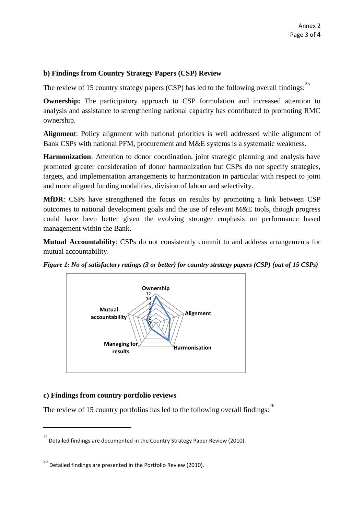# **b) Findings from Country Strategy Papers (CSP) Review**

The review of 15 country strategy papers (CSP) has led to the following overall findings:<sup>25</sup>

**Ownership:** The participatory approach to CSP formulation and increased attention to analysis and assistance to strengthening national capacity has contributed to promoting RMC ownership.

**Alignmen**t: Policy alignment with national priorities is well addressed while alignment of Bank CSPs with national PFM, procurement and M&E systems is a systematic weakness.

**Harmonization**: Attention to donor coordination, joint strategic planning and analysis have promoted greater consideration of donor harmonization but CSPs do not specify strategies, targets, and implementation arrangements to harmonization in particular with respect to joint and more aligned funding modalities, division of labour and selectivity.

**MfDR**: CSPs have strengthened the focus on results by promoting a link between CSP outcomes to national development goals and the use of relevant M&E tools, though progress could have been better given the evolving stronger emphasis on performance based management within the Bank.

**Mutual Accountability**: CSPs do not consistently commit to and address arrangements for mutual accountability.



*Figure 1: No of satisfactory ratings (3 or better) for country strategy papers (CSP) (out of 15 CSPs)*

# **c) Findings from country portfolio reviews**

 $\overline{\phantom{a}}$ 

The review of 15 country portfolios has led to the following overall findings:  $^{26}$ 

<sup>&</sup>lt;sup>25</sup> Detailed findings are documented in the Country Strategy Paper Review (2010).

 $^{26}$  Detailed findings are presented in the Portfolio Review (2010).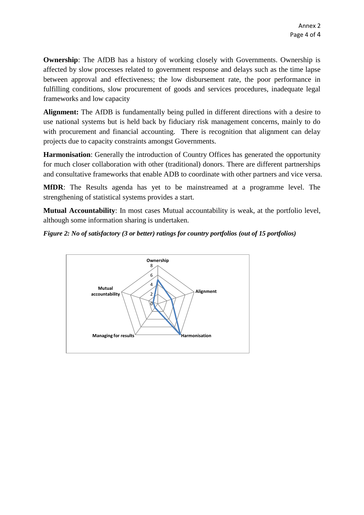**Ownership**: The AfDB has a history of working closely with Governments. Ownership is affected by slow processes related to government response and delays such as the time lapse between approval and effectiveness; the low disbursement rate, the poor performance in fulfilling conditions, slow procurement of goods and services procedures, inadequate legal frameworks and low capacity

**Alignment:** The AfDB is fundamentally being pulled in different directions with a desire to use national systems but is held back by fiduciary risk management concerns, mainly to do with procurement and financial accounting. There is recognition that alignment can delay projects due to capacity constraints amongst Governments.

**Harmonisation**: Generally the introduction of Country Offices has generated the opportunity for much closer collaboration with other (traditional) donors. There are different partnerships and consultative frameworks that enable ADB to coordinate with other partners and vice versa.

**MfDR**: The Results agenda has yet to be mainstreamed at a programme level. The strengthening of statistical systems provides a start.

**Mutual Accountability**: In most cases Mutual accountability is weak, at the portfolio level, although some information sharing is undertaken.

## *Figure 2: No of satisfactory (3 or better) ratings for country portfolios (out of 15 portfolios)*

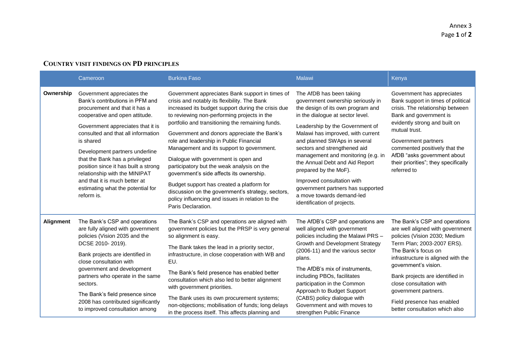# **COUNTRY VISIT FINDINGS ON PD PRINCIPLES**

<span id="page-35-0"></span>

|           | Cameroon                                                                                                                                                                                                                                                                                                                                                                                                                                                  | <b>Burkina Faso</b>                                                                                                                                                                                                                                                                                                                                                                                                                                                                                                                                                                                                                                                                                           | Malawi                                                                                                                                                                                                                                                                                                                                                                                                                                                                                                         | Kenya                                                                                                                                                                                                                                                                                                                                                                       |
|-----------|-----------------------------------------------------------------------------------------------------------------------------------------------------------------------------------------------------------------------------------------------------------------------------------------------------------------------------------------------------------------------------------------------------------------------------------------------------------|---------------------------------------------------------------------------------------------------------------------------------------------------------------------------------------------------------------------------------------------------------------------------------------------------------------------------------------------------------------------------------------------------------------------------------------------------------------------------------------------------------------------------------------------------------------------------------------------------------------------------------------------------------------------------------------------------------------|----------------------------------------------------------------------------------------------------------------------------------------------------------------------------------------------------------------------------------------------------------------------------------------------------------------------------------------------------------------------------------------------------------------------------------------------------------------------------------------------------------------|-----------------------------------------------------------------------------------------------------------------------------------------------------------------------------------------------------------------------------------------------------------------------------------------------------------------------------------------------------------------------------|
| Ownership | Government appreciates the<br>Bank's contributions in PFM and<br>procurement and that it has a<br>cooperative and open attitude.<br>Government appreciates that it is<br>consulted and that all information<br>is shared<br>Development partners underline<br>that the Bank has a privileged<br>position since it has built a strong<br>relationship with the MINIPAT<br>and that it is much better at<br>estimating what the potential for<br>reform is. | Government appreciates Bank support in times of<br>crisis and notably its flexibility. The Bank<br>increased its budget support during the crisis due<br>to reviewing non-performing projects in the<br>portfolio and transitioning the remaining funds.<br>Government and donors appreciate the Bank's<br>role and leadership in Public Financial<br>Management and its support to government.<br>Dialogue with government is open and<br>participatory but the weak analysis on the<br>government's side affects its ownership.<br>Budget support has created a platform for<br>discussion on the government's strategy, sectors,<br>policy influencing and issues in relation to the<br>Paris Declaration. | The AfDB has been taking<br>government ownership seriously in<br>the design of its own program and<br>in the dialogue at sector level.<br>Leadership by the Government of<br>Malawi has improved, with current<br>and planned SWAps in several<br>sectors and strengthened aid<br>management and monitoring (e.g. in<br>the Annual Debt and Aid Report<br>prepared by the MoF).<br>Improved consultation with<br>government partners has supported<br>a move towards demand-led<br>identification of projects. | Government has appreciates<br>Bank support in times of political<br>crisis. The relationship between<br>Bank and government is<br>evidently strong and built on<br>mutual trust.<br>Government partners<br>commented positively that the<br>AfDB "asks government about<br>their priorities"; they specifically<br>referred to                                              |
| Alignment | The Bank's CSP and operations<br>are fully aligned with government<br>policies (Vision 2035 and the<br>DCSE 2010-2019).<br>Bank projects are identified in<br>close consultation with<br>government and development<br>partners who operate in the same<br>sectors.<br>The Bank's field presence since<br>2008 has contributed significantly<br>to improved consultation among                                                                            | The Bank's CSP and operations are aligned with<br>government policies but the PRSP is very general<br>so alignment is easy.<br>The Bank takes the lead in a priority sector,<br>infrastructure, in close cooperation with WB and<br>EU.<br>The Bank's field presence has enabled better<br>consultation which also led to better alignment<br>with government priorities.<br>The Bank uses its own procurement systems;<br>non-objections; mobilisation of funds; long delays<br>in the process itself. This affects planning and                                                                                                                                                                             | The AfDB's CSP and operations are<br>well aligned with government<br>policies including the Malawi PRS -<br>Growth and Development Strategy<br>(2006-11) and the various sector<br>plans.<br>The AfDB's mix of instruments.<br>including PBOs, facilitates<br>participation in the Common<br>Approach to Budget Support<br>(CABS) policy dialogue with<br>Government and with moves to<br>strengthen Public Finance                                                                                            | The Bank's CSP and operations<br>are well aligned with government<br>policies (Vision 2030; Medium<br>Term Plan; 2003-2007 ERS).<br>The Bank's focus on<br>infrastructure is aligned with the<br>government's vision.<br>Bank projects are identified in<br>close consultation with<br>government partners.<br>Field presence has enabled<br>better consultation which also |